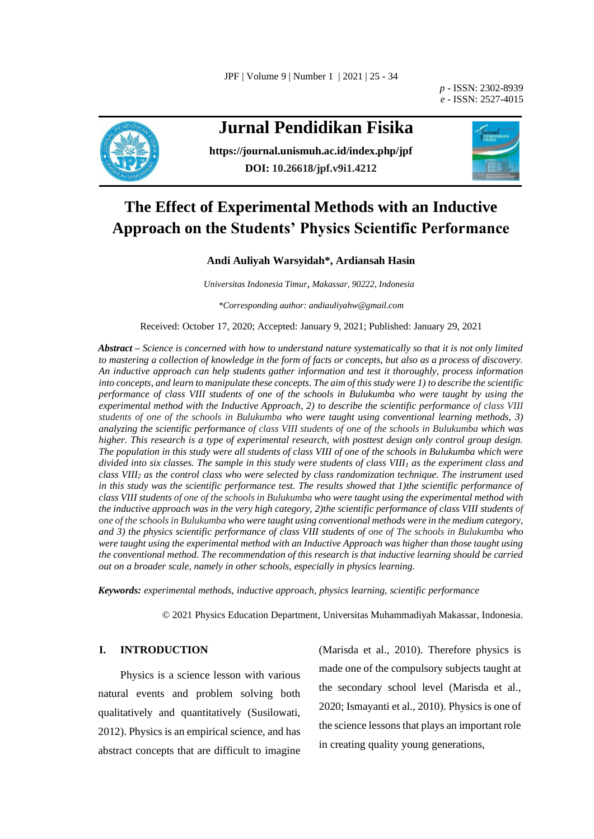*p -* ISSN: 2302-8939 *e -* ISSN: 2527-4015



# **Jurnal Pendidikan Fisika**

**<https://journal.unismuh.ac.id/index.php/jpf> DOI: 10.26618/jpf.v9i1.4212**



# **The Effect of Experimental Methods with an Inductive Approach on the Students' Physics Scientific Performance**

# **Andi Auliyah Warsyidah\*, Ardiansah Hasin**

*Universitas Indonesia Timur, Makassar, 90222, Indonesia*

*\*Corresponding author: andiauliyahw@gmail.com*

Received: October 17, 2020; Accepted: January 9, 2021; Published: January 29, 2021

*Abstract – Science is concerned with how to understand nature systematically so that it is not only limited to mastering a collection of knowledge in the form of facts or concepts, but also as a process of discovery. An inductive approach can help students gather information and test it thoroughly, process information into concepts, and learn to manipulate these concepts. The aim of this study were 1) to describe the scientific performance of class VIII students of one of the schools in Bulukumba who were taught by using the experimental method with the Inductive Approach, 2) to describe the scientific performance of class VIII students of one of the schools in Bulukumba who were taught using conventional learning methods, 3) analyzing the scientific performance of class VIII students of one of the schools in Bulukumba which was higher. This research is a type of experimental research, with posttest design only control group design. The population in this study were all students of class VIII of one of the schools in Bulukumba which were divided into six classes. The sample in this study were students of class VIII<sup>1</sup> as the experiment class and class VIII<sup>2</sup> as the control class who were selected by class randomization technique. The instrument used in this study was the scientific performance test. The results showed that 1)the scientific performance of class VIII students of one of the schools in Bulukumba who were taught using the experimental method with the inductive approach was in the very high category, 2)the scientific performance of class VIII students of one of the schools in Bulukumba who were taught using conventional methods were in the medium category, and 3) the physics scientific performance of class VIII students of one of The schools in Bulukumba who were taught using the experimental method with an Inductive Approach was higher than those taught using the conventional method. The recommendation of this research is that inductive learning should be carried out on a broader scale, namely in other schools, especially in physics learning.* 

*Keywords: experimental methods, inductive approach, physics learning, scientific performance*

© 2021 Physics Education Department, Universitas Muhammadiyah Makassar, Indonesia.

# **I. INTRODUCTION**

Physics is a science lesson with various natural events and problem solving both qualitatively and quantitatively (Susilowati, 2012). Physics is an empirical science, and has abstract concepts that are difficult to imagine

(Marisda et al., 2010). Therefore physics is made one of the compulsory subjects taught at the secondary school level (Marisda et al., 2020; Ismayanti et al., 2010). Physics is one of the science lessons that plays an important role in creating quality young generations,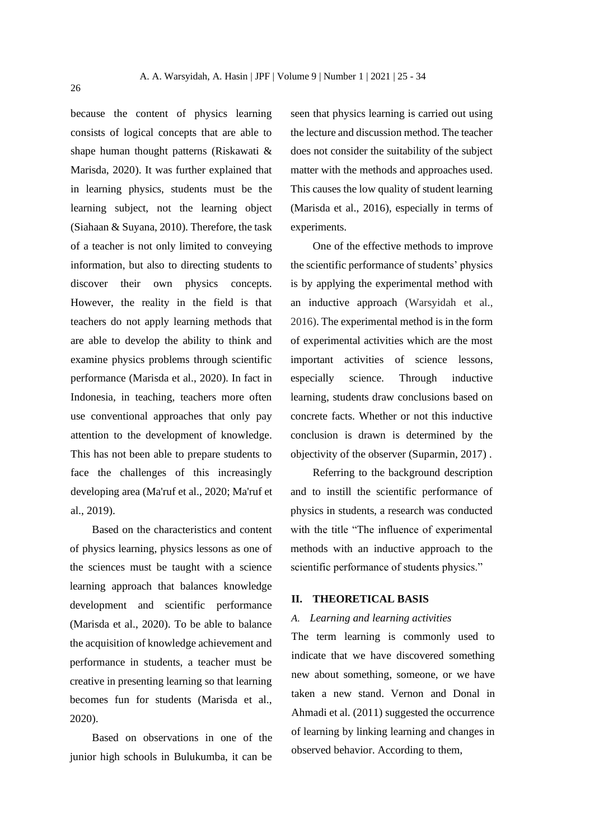because the content of physics learning consists of logical concepts that are able to shape human thought patterns (Riskawati & Marisda, 2020). It was further explained that in learning physics, students must be the learning subject, not the learning object (Siahaan & Suyana, 2010). Therefore, the task of a teacher is not only limited to conveying information, but also to directing students to discover their own physics concepts. However, the reality in the field is that teachers do not apply learning methods that are able to develop the ability to think and examine physics problems through scientific performance (Marisda et al., 2020). In fact in Indonesia, in teaching, teachers more often use conventional approaches that only pay attention to the development of knowledge. This has not been able to prepare students to face the challenges of this increasingly developing area (Ma'ruf et al., 2020; Ma'ruf et al., 2019).

Based on the characteristics and content of physics learning, physics lessons as one of the sciences must be taught with a science learning approach that balances knowledge development and scientific performance (Marisda et al., 2020). To be able to balance the acquisition of knowledge achievement and performance in students, a teacher must be creative in presenting learning so that learning becomes fun for students (Marisda et al., 2020).

Based on observations in one of the junior high schools in Bulukumba, it can be seen that physics learning is carried out using the lecture and discussion method. The teacher does not consider the suitability of the subject matter with the methods and approaches used. This causes the low quality of student learning (Marisda et al., 2016), especially in terms of experiments.

One of the effective methods to improve the scientific performance of students' physics is by applying the experimental method with an inductive approach (Warsyidah et al., 2016). The experimental method is in the form of experimental activities which are the most important activities of science lessons, especially science. Through inductive learning, students draw conclusions based on concrete facts. Whether or not this inductive conclusion is drawn is determined by the objectivity of the observer (Suparmin, 2017) .

Referring to the background description and to instill the scientific performance of physics in students, a research was conducted with the title "The influence of experimental methods with an inductive approach to the scientific performance of students physics."

# **II. THEORETICAL BASIS**

### *A. Learning and learning activities*

The term learning is commonly used to indicate that we have discovered something new about something, someone, or we have taken a new stand. Vernon and Donal in Ahmadi et al. (2011) suggested the occurrence of learning by linking learning and changes in observed behavior. According to them,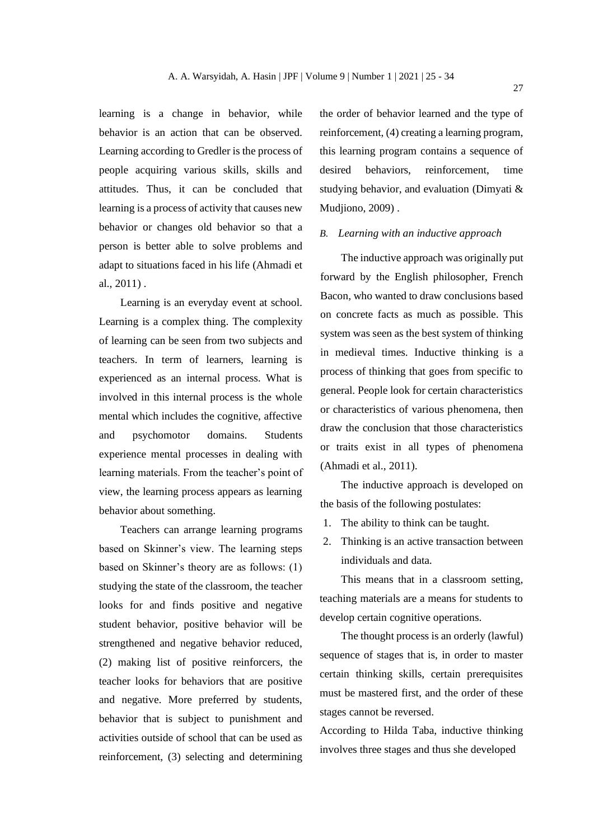learning is a change in behavior, while behavior is an action that can be observed. Learning according to Gredler is the process of people acquiring various skills, skills and attitudes. Thus, it can be concluded that learning is a process of activity that causes new behavior or changes old behavior so that a person is better able to solve problems and adapt to situations faced in his life (Ahmadi et al., 2011) .

Learning is an everyday event at school. Learning is a complex thing. The complexity of learning can be seen from two subjects and teachers. In term of learners, learning is experienced as an internal process. What is involved in this internal process is the whole mental which includes the cognitive, affective and psychomotor domains. Students experience mental processes in dealing with learning materials. From the teacher's point of view, the learning process appears as learning behavior about something.

Teachers can arrange learning programs based on Skinner's view. The learning steps based on Skinner's theory are as follows: (1) studying the state of the classroom, the teacher looks for and finds positive and negative student behavior, positive behavior will be strengthened and negative behavior reduced, (2) making list of positive reinforcers, the teacher looks for behaviors that are positive and negative. More preferred by students, behavior that is subject to punishment and activities outside of school that can be used as reinforcement, (3) selecting and determining

the order of behavior learned and the type of reinforcement, (4) creating a learning program, this learning program contains a sequence of desired behaviors, reinforcement, time studying behavior, and evaluation (Dimyati & Mudjiono, 2009) .

## *B. Learning with an inductive approach*

The inductive approach was originally put forward by the English philosopher, French Bacon, who wanted to draw conclusions based on concrete facts as much as possible. This system was seen as the best system of thinking in medieval times. Inductive thinking is a process of thinking that goes from specific to general. People look for certain characteristics or characteristics of various phenomena, then draw the conclusion that those characteristics or traits exist in all types of phenomena (Ahmadi et al., 2011).

The inductive approach is developed on the basis of the following postulates:

- 1. The ability to think can be taught.
- 2. Thinking is an active transaction between individuals and data.

This means that in a classroom setting, teaching materials are a means for students to develop certain cognitive operations.

The thought process is an orderly (lawful) sequence of stages that is, in order to master certain thinking skills, certain prerequisites must be mastered first, and the order of these stages cannot be reversed.

According to Hilda Taba, inductive thinking involves three stages and thus she developed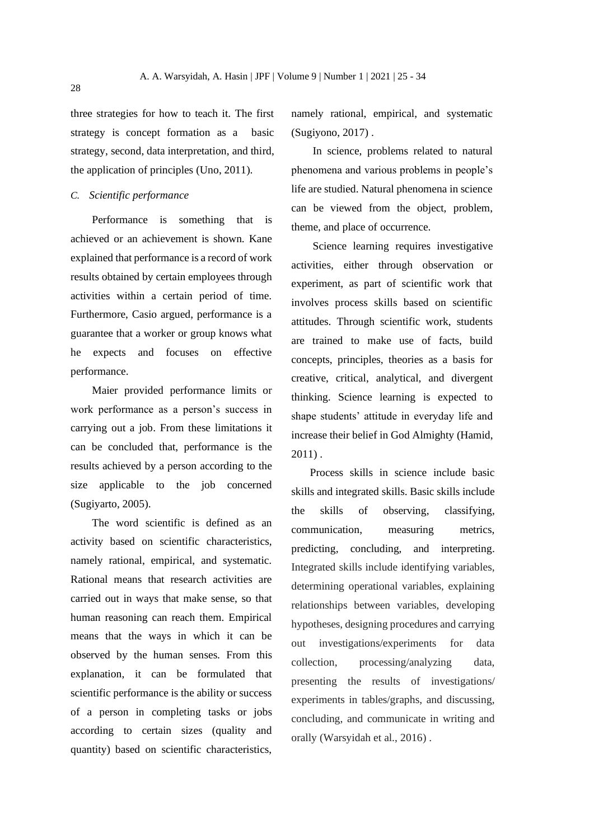three strategies for how to teach it. The first strategy is concept formation as a basic strategy, second, data interpretation, and third, the application of principles (Uno, 2011).

# *C. Scientific performance*

Performance is something that is achieved or an achievement is shown. Kane explained that performance is a record of work results obtained by certain employees through activities within a certain period of time. Furthermore, Casio argued, performance is a guarantee that a worker or group knows what he expects and focuses on effective performance.

Maier provided performance limits or work performance as a person's success in carrying out a job. From these limitations it can be concluded that, performance is the results achieved by a person according to the size applicable to the job concerned (Sugiyarto, 2005).

The word scientific is defined as an activity based on scientific characteristics, namely rational, empirical, and systematic. Rational means that research activities are carried out in ways that make sense, so that human reasoning can reach them. Empirical means that the ways in which it can be observed by the human senses. From this explanation, it can be formulated that scientific performance is the ability or success of a person in completing tasks or jobs according to certain sizes (quality and quantity) based on scientific characteristics,

namely rational, empirical, and systematic (Sugiyono, 2017) .

In science, problems related to natural phenomena and various problems in people's life are studied. Natural phenomena in science can be viewed from the object, problem, theme, and place of occurrence.

Science learning requires investigative activities, either through observation or experiment, as part of scientific work that involves process skills based on scientific attitudes. Through scientific work, students are trained to make use of facts, build concepts, principles, theories as a basis for creative, critical, analytical, and divergent thinking. Science learning is expected to shape students' attitude in everyday life and increase their belief in God Almighty (Hamid, 2011) .

Process skills in science include basic skills and integrated skills. Basic skills include the skills of observing, classifying, communication, measuring metrics, predicting, concluding, and interpreting. Integrated skills include identifying variables, determining operational variables, explaining relationships between variables, developing hypotheses, designing procedures and carrying out investigations/experiments for data collection, processing/analyzing data, presenting the results of investigations/ experiments in tables/graphs, and discussing, concluding, and communicate in writing and orally (Warsyidah et al., 2016) .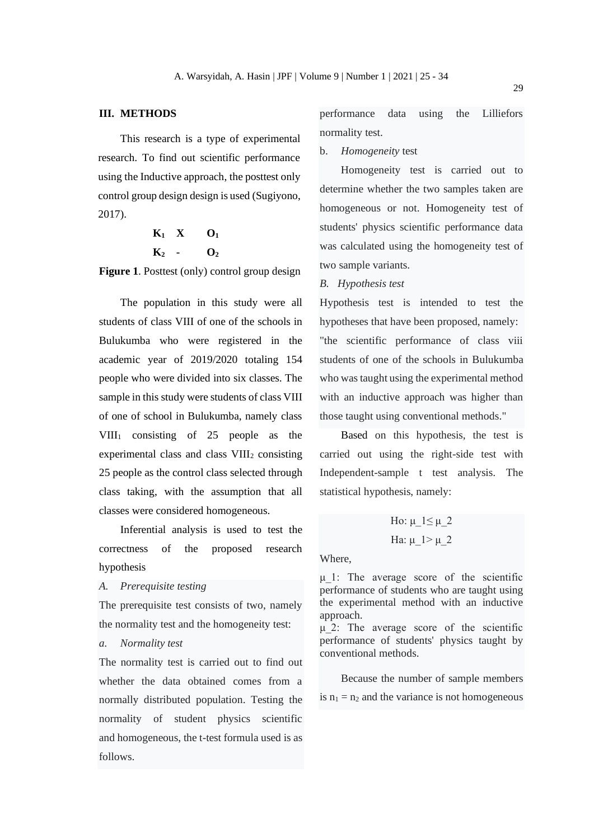## **III. METHODS**

This research is a type of experimental research. To find out scientific performance using the Inductive approach, the posttest only control group design design is used (Sugiyono, 2017).

$$
\begin{array}{ccc}\nK_1 & X & O_1 \\
K_2 & \cdot & O_2\n\end{array}
$$

**Figure 1**. Posttest (only) control group design

The population in this study were all students of class VIII of one of the schools in Bulukumba who were registered in the academic year of 2019/2020 totaling 154 people who were divided into six classes. The sample in this study were students of class VIII of one of school in Bulukumba, namely class  $VIII<sub>1</sub>$  consisting of 25 people as the experimental class and class  $VIII<sub>2</sub>$  consisting 25 people as the control class selected through class taking, with the assumption that all classes were considered homogeneous.

Inferential analysis is used to test the correctness of the proposed research hypothesis

*A. Prerequisite testing*

The prerequisite test consists of two, namely the normality test and the homogeneity test:

# *a. Normality test*

The normality test is carried out to find out whether the data obtained comes from a normally distributed population. Testing the normality of student physics scientific and homogeneous, the t-test formula used is as follows.

performance data using the Lilliefors normality test.

b. *Homogeneity* test

Homogeneity test is carried out to determine whether the two samples taken are homogeneous or not. Homogeneity test of students' physics scientific performance data was calculated using the homogeneity test of two sample variants.

#### *B. Hypothesis test*

Hypothesis test is intended to test the hypotheses that have been proposed, namely: "the scientific performance of class viii students of one of the schools in Bulukumba who was taught using the experimental method with an inductive approach was higher than those taught using conventional methods."

Based on this hypothesis, the test is carried out using the right-side test with Independent-sample t test analysis. The statistical hypothesis, namely:

$$
Ho: μ_1 ≤ μ_2
$$
  

$$
Ha: μ_1 > μ_2
$$

Where,

μ\_1: The average score of the scientific performance of students who are taught using the experimental method with an inductive approach.

 $\mu$  2: The average score of the scientific performance of students' physics taught by conventional methods.

Because the number of sample members is  $n_1 = n_2$  and the variance is not homogeneous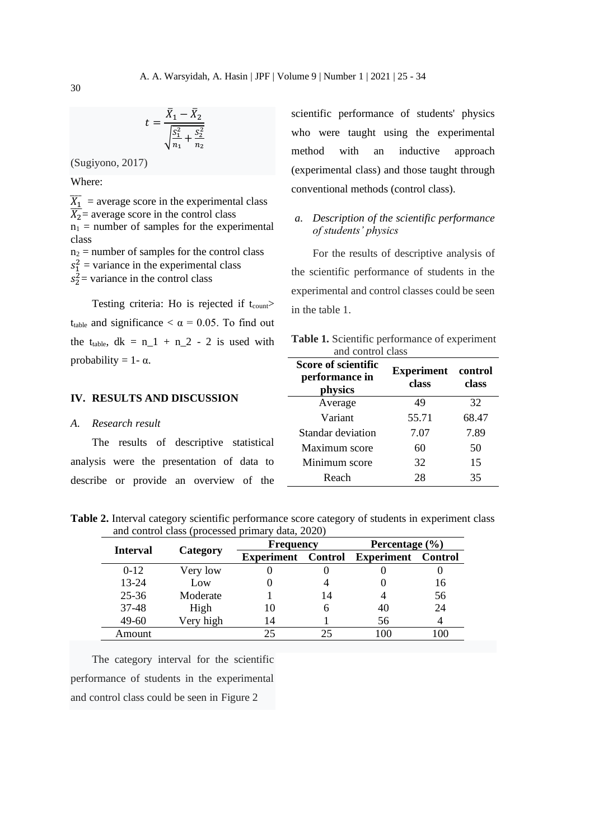$$
t = \frac{\bar{X}_1 - \bar{X}_2}{\sqrt{\frac{S_1^2}{n_1} + \frac{S_2^2}{n_2}}}
$$

(Sugiyono, 2017)

Where:

 $\overline{X_1}$  = average score in the experimental class  $\overline{X_2}$ = average score in the control class  $n_1$  = number of samples for the experimental class  $n_2$  = number of samples for the control class  $s_1^2$  = variance in the experimental class

 $s_2^2$  variance in the control class

Testing criteria: Ho is rejected if  $t_{\text{count}}$ t<sub>table</sub> and significance  $\langle \alpha = 0.05$ . To find out the t<sub>table</sub>,  $dk = n_1 + n_2 - 2$  is used with probability =  $1 - \alpha$ .

scientific performance of students' physics who were taught using the experimental method with an inductive approach (experimental class) and those taught through conventional methods (control class).

# *a. Description of the scientific performance of students' physics*

For the results of descriptive analysis of the scientific performance of students in the experimental and control classes could be seen in the table 1.

**Table 1.** Scientific performance of experiment and control class **Score of scientific** 

**Experiment** 

**control** 

**performance in** 

| IV. RESULTS AND DISCUSSION                | periormanee in<br>physics | class | class |
|-------------------------------------------|---------------------------|-------|-------|
|                                           | Average                   | 49    | 32    |
| Research result<br>A.                     | Variant                   | 55.71 | 68.47 |
|                                           | Standar deviation         | 7.07  | 7.89  |
| The results of descriptive statistical    | Maximum score             | 60    | 50    |
| analysis were the presentation of data to | Minimum score             | 32    | 15    |
| describe or provide an overview of the    | Reach                     | 28    | 35    |
|                                           |                           |       |       |

**Table 2.** Interval category scientific performance score category of students in experiment class and control class (processed primary data, 2020)

| <b>Interval</b> | Category  | <b>Frequency</b>  |                | Percentage $(\% )$ |         |
|-----------------|-----------|-------------------|----------------|--------------------|---------|
|                 |           | <b>Experiment</b> | <b>Control</b> | <b>Experiment</b>  | Control |
| $0-12$          | Very low  |                   |                |                    |         |
| $13 - 24$       | Low       |                   |                |                    | 16      |
| $25 - 36$       | Moderate  |                   | 14             |                    | 56      |
| 37-48           | High      | 10                | h              | 40                 | 24      |
| $49-60$         | Very high | 14                |                | 56                 |         |
| Amount          |           | 25                | 25             | 100                | 100     |

The category interval for the scientific performance of students in the experimental and control class could be seen in Figure 2

30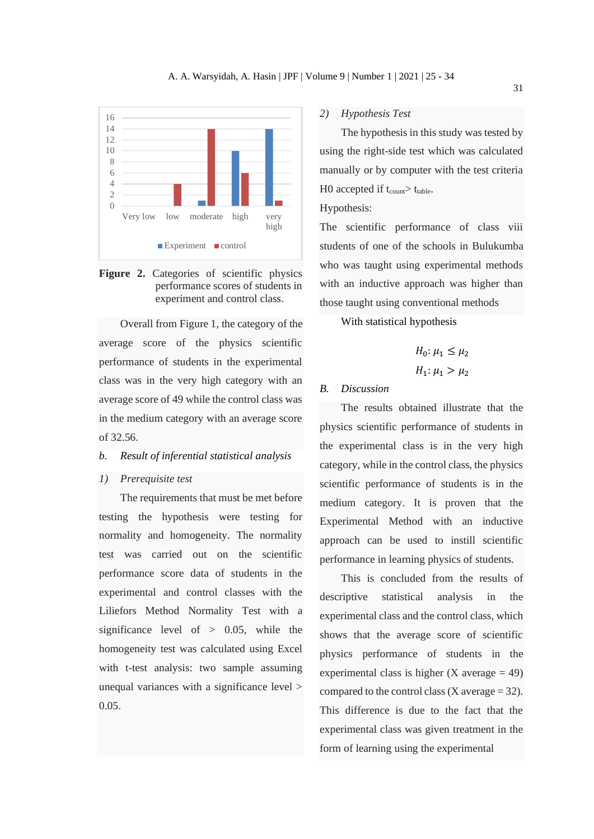

**Figure 2.** Categories of scientific physics performance scores of students in experiment and control class.

Overall from Figure 1, the category of the average score of the physics scientific performance of students in the experimental class was in the very high category with an average score of 49 while the control class was in the medium category with an average score of 32.56.

# *b. Result of inferential statistical analysis*

# *1) Prerequisite test*

The requirements that must be met before testing the hypothesis were testing for normality and homogeneity. The normality test was carried out on the scientific performance score data of students in the experimental and control classes with the Liliefors Method Normality Test with a significance level of  $> 0.05$ , while the homogeneity test was calculated using Excel with t-test analysis: two sample assuming unequal variances with a significance level > 0.05.

## *2) Hypothesis Test*

The hypothesis in this study was tested by using the right-side test which was calculated manually or by computer with the test criteria H0 accepted if  $t_{\text{count}}$  t<sub>table</sub>.

# Hypothesis:

The scientific performance of class viii students of one of the schools in Bulukumba who was taught using experimental methods with an inductive approach was higher than those taught using conventional methods

With statistical hypothesis

$$
H_0: \mu_1 \le \mu_2
$$
  

$$
H_1: \mu_1 > \mu_2
$$

## *B. Discussion*

The results obtained illustrate that the physics scientific performance of students in the experimental class is in the very high category, while in the control class, the physics scientific performance of students is in the medium category. It is proven that the Experimental Method with an inductive approach can be used to instill scientific performance in learning physics of students.

This is concluded from the results of descriptive statistical analysis in the experimental class and the control class, which shows that the average score of scientific physics performance of students in the experimental class is higher  $(X \text{ average} = 49)$ compared to the control class  $(X \text{ average} = 32)$ . This difference is due to the fact that the experimental class was given treatment in the form of learning using the experimental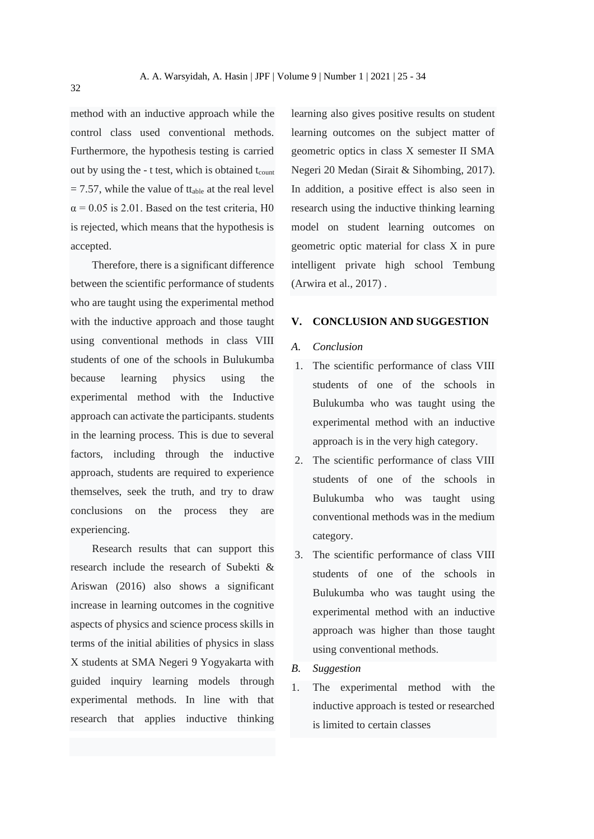method with an inductive approach while the control class used conventional methods. Furthermore, the hypothesis testing is carried out by using the  $-$  t test, which is obtained  $t_{\text{count}}$  $= 7.57$ , while the value of tt<sub>able</sub> at the real level  $\alpha$  = 0.05 is 2.01. Based on the test criteria, H0 is rejected, which means that the hypothesis is accepted.

Therefore, there is a significant difference between the scientific performance of students who are taught using the experimental method with the inductive approach and those taught using conventional methods in class VIII students of one of the schools in Bulukumba because learning physics using the experimental method with the Inductive approach can activate the participants. students in the learning process. This is due to several factors, including through the inductive approach, students are required to experience themselves, seek the truth, and try to draw conclusions on the process they are experiencing.

Research results that can support this research include the research of Subekti & Ariswan (2016) also shows a significant increase in learning outcomes in the cognitive aspects of physics and science process skills in terms of the initial abilities of physics in slass X students at SMA Negeri 9 Yogyakarta with guided inquiry learning models through experimental methods. In line with that research that applies inductive thinking

learning also gives positive results on student learning outcomes on the subject matter of geometric optics in class X semester II SMA Negeri 20 Medan (Sirait & Sihombing, 2017). In addition, a positive effect is also seen in research using the inductive thinking learning model on student learning outcomes on geometric optic material for class X in pure intelligent private high school Tembung (Arwira et al., 2017) .

## **V. CONCLUSION AND SUGGESTION**

# *A. Conclusion*

- 1. The scientific performance of class VIII students of one of the schools in Bulukumba who was taught using the experimental method with an inductive approach is in the very high category.
- 2. The scientific performance of class VIII students of one of the schools in Bulukumba who was taught using conventional methods was in the medium category.
- 3. The scientific performance of class VIII students of one of the schools in Bulukumba who was taught using the experimental method with an inductive approach was higher than those taught using conventional methods.
- *B. Suggestion*
- 1. The experimental method with the inductive approach is tested or researched is limited to certain classes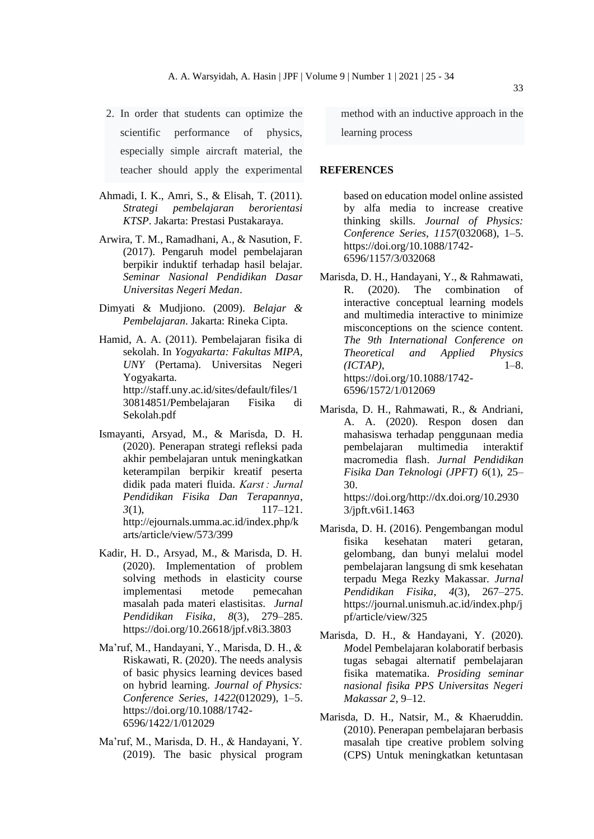- 2. In order that students can optimize the scientific performance of physics, especially simple aircraft material, the teacher should apply the experimental
- Ahmadi, I. K., Amri, S., & Elisah, T. (2011). *Strategi pembelajaran berorientasi KTSP*. Jakarta: Prestasi Pustakaraya.
- Arwira, T. M., Ramadhani, A., & Nasution, F. (2017). Pengaruh model pembelajaran berpikir induktif terhadap hasil belajar. *Seminar Nasional Pendidikan Dasar Universitas Negeri Medan*.
- Dimyati & Mudjiono. (2009). *Belajar & Pembelajaran*. Jakarta: Rineka Cipta.
- Hamid, A. A. (2011). Pembelajaran fisika di sekolah. In *Yogyakarta: Fakultas MIPA, UNY* (Pertama). Universitas Negeri Yogyakarta. http://staff.uny.ac.id/sites/default/files/1 30814851/Pembelajaran Fisika di Sekolah.pdf
- Ismayanti, Arsyad, M., & Marisda, D. H. (2020). Penerapan strategi refleksi pada akhir pembelajaran untuk meningkatkan keterampilan berpikir kreatif peserta didik pada materi fluida. *Karst : Jurnal Pendidikan Fisika Dan Terapannya*, *3*(1), 117–121. http://ejournals.umma.ac.id/index.php/k arts/article/view/573/399
- Kadir, H. D., Arsyad, M., & Marisda, D. H. (2020). Implementation of problem solving methods in elasticity course implementasi metode pemecahan masalah pada materi elastisita*s*. *Jurnal Pendidikan Fisika, 8*(3), 279–285. https://doi.org/10.26618/jpf.v8i3.3803
- Ma'ruf, M., Handayani, Y., Marisda, D. H., & Riskawati, R. (2020). The needs analysis of basic physics learning devices based on hybrid learning. *Journal of Physics: Conference Series*, *1422*(012029), 1–5. https://doi.org/10.1088/1742- 6596/1422/1/012029
- Ma'ruf, M., Marisda, D. H., & Handayani, Y. (2019). The basic physical program

method with an inductive approach in the learning process

#### **REFERENCES**

based on education model online assisted by alfa media to increase creative thinking skills. *Journal of Physics: Conference Series*, *1157*(032068), 1–5. https://doi.org/10.1088/1742- 6596/1157/3/032068

- Marisda, D. H., Handayani, Y., & Rahmawati, R. (2020). The combination of interactive conceptual learning models and multimedia interactive to minimize misconceptions on the science content. *The 9th International Conference on Theoretical and Applied Physics (ICTAP)*, 1–8. https://doi.org/10.1088/1742- 6596/1572/1/012069
- Marisda, D. H., Rahmawati, R., & Andriani, A. A. (2020). Respon dosen dan mahasiswa terhadap penggunaan media pembelajaran multimedia interaktif macromedia flash. *Jurnal Pendidikan Fisika Dan Teknologi (JPFT) 6*(1), 25– 30. https://doi.org/http://dx.doi.org/10.2930

3/jpft.v6i1.1463

- Marisda, D. H. (2016). Pengembangan modul fisika kesehatan materi getaran, gelombang, dan bunyi melalui model pembelajaran langsung di smk kesehatan terpadu Mega Rezky Makassar. *Jurnal Pendidikan Fisika*, *4*(3), 267–275. https://journal.unismuh.ac.id/index.php/j pf/article/view/325
- Marisda, D. H., & Handayani, Y. (2020). *M*odel Pembelajaran kolaboratif berbasis tugas sebagai alternatif pembelajaran fisika matematika. *Prosiding seminar nasional fisika PPS Universitas Negeri Makassar 2*, 9–12.
- Marisda, D. H., Natsir, M., & Khaeruddin. (2010). Penerapan pembelajaran berbasis masalah tipe creative problem solving (CPS) Untuk meningkatkan ketuntasan